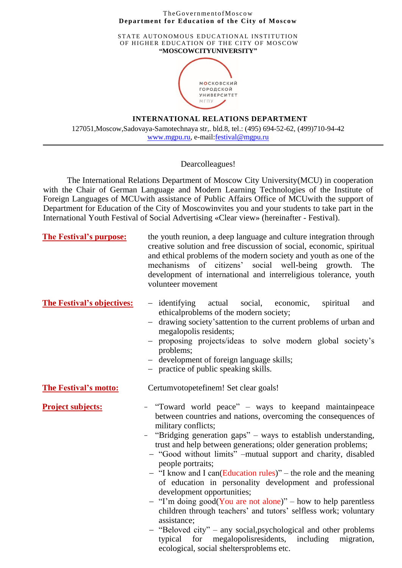## The Government of Moscow **Department for Education of the City of Moscow**

STATE AUTONOMOUS EDUCATIONAL INSTITUTION OF HIGHER EDUCATION OF THE CITY OF MOSCOW **"MOSCOWCITYUNIVERSITY"**



## **INTERNATIONAL RELATIONS DEPARTMENT**

127051,Moscow,Sadovaya-Samotechnaya str,. bld.8, tel.: (495) 694-52-62, (499)710-94-42 [www.mgpu.ru,](http://www.msaba.ru/) e-mail[:festival@mgpu.ru](mailto:festival@mgpu.ru)

## Dearcolleagues!

The International Relations Department of Moscow City University(MCU) in cooperation with the Chair of German Language and Modern Learning Technologies of the Institute of Foreign Languages of MCUwith assistance of Public Affairs Office of MCUwith the support of Department for Education of the City of Moscowinvites you and your students to take part in the International Youth Festival of Social Advertising «Clear view» (hereinafter - Festival).

| <b>The Festival's purpose:</b>    | the youth reunion, a deep language and culture integration through<br>creative solution and free discussion of social, economic, spiritual<br>and ethical problems of the modern society and youth as one of the<br>of citizens'<br>social well-being growth.<br>mechanisms<br>The<br>development of international and interreligious tolerance, youth<br>volunteer movement                                                                                                                                                                                                                                                                                                                                                                                                                                                                                                   |
|-----------------------------------|--------------------------------------------------------------------------------------------------------------------------------------------------------------------------------------------------------------------------------------------------------------------------------------------------------------------------------------------------------------------------------------------------------------------------------------------------------------------------------------------------------------------------------------------------------------------------------------------------------------------------------------------------------------------------------------------------------------------------------------------------------------------------------------------------------------------------------------------------------------------------------|
| <b>The Festival's objectives:</b> | $-$ identifying<br>actual social,<br>economic,<br>spiritual<br>and<br>ethicalproblems of the modern society;<br>drawing society' sattention to the current problems of urban and<br>$\overline{\phantom{0}}$<br>megalopolis residents;<br>- proposing projects/ideas to solve modern global society's<br>problems;<br>- development of foreign language skills;<br>- practice of public speaking skills.                                                                                                                                                                                                                                                                                                                                                                                                                                                                       |
| <b>The Festival's motto:</b>      | Certumvotopetefinem! Set clear goals!                                                                                                                                                                                                                                                                                                                                                                                                                                                                                                                                                                                                                                                                                                                                                                                                                                          |
| <b>Project subjects:</b>          | - "Toward world peace" – ways to keepand maintainpeace<br>between countries and nations, overcoming the consequences of<br>military conflicts;<br>- "Bridging generation gaps" – ways to establish understanding,<br>trust and help between generations; older generation problems;<br>- "Good without limits" -mutual support and charity, disabled<br>people portraits;<br>$-$ "I know and I can(Education rules)" – the role and the meaning<br>of education in personality development and professional<br>development opportunities;<br>$-$ "I'm doing good(You are not alone)" – how to help parentless<br>children through teachers' and tutors' selfless work; voluntary<br>assistance;<br>- "Beloved city" – any social, psychological and other problems<br>megalopolisresidents, including<br>typical for<br>migration,<br>ecological, social sheltersproblems etc. |